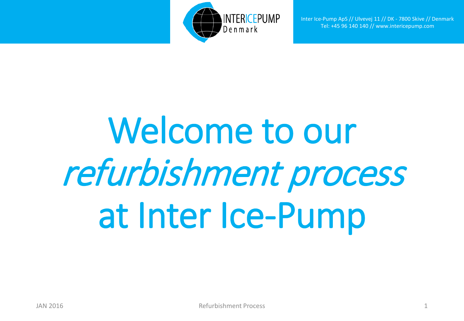

Inter Ice-Pump ApS // Ulvevej 11 // DK - 7800 Skive // Denmark Tel: +45 96 140 140 // www.intericepump.com

## Welcome to our refurbishment process at Inter Ice-Pump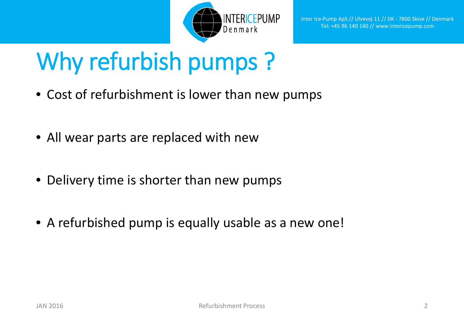

## Why refurbish pumps ?

- Cost of refurbishment is lower than new pumps
- All wear parts are replaced with new
- Delivery time is shorter than new pumps
- A refurbished pump is equally usable as a new one!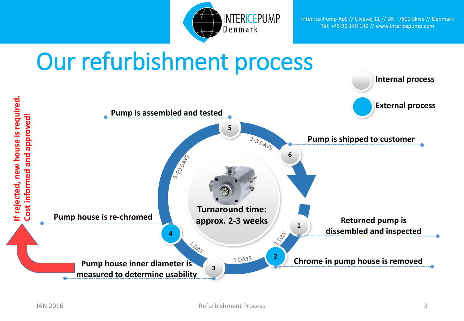

Inter Ice-Pump ApS // Ulvevej 11 // DK - 7800 Skive // Denmark Tel: +45 96 140 140 // www.intericepump.com

## Our refurbishment process